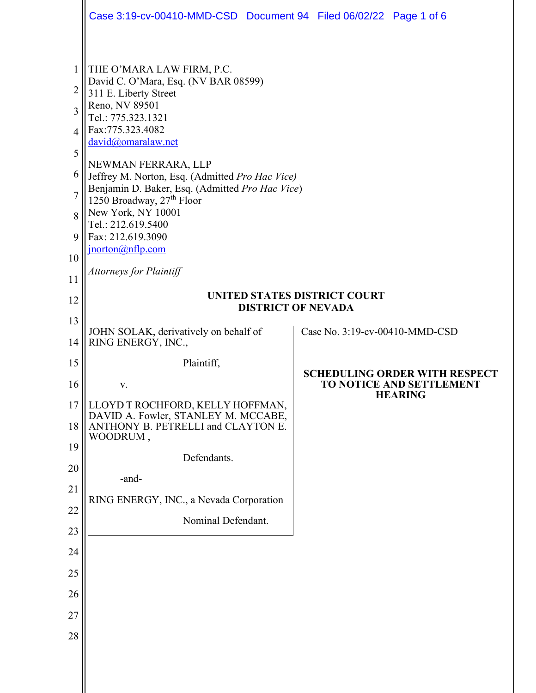|                | Case 3:19-cv-00410-MMD-CSD  Document 94  Filed 06/02/22  Page 1 of 6         |  |                                                                         |                |
|----------------|------------------------------------------------------------------------------|--|-------------------------------------------------------------------------|----------------|
|                |                                                                              |  |                                                                         |                |
| 1              | THE O'MARA LAW FIRM, P.C.<br>David C. O'Mara, Esq. (NV BAR 08599)            |  |                                                                         |                |
| 2<br>3         | 311 E. Liberty Street<br>Reno, NV 89501                                      |  |                                                                         |                |
| 4              | Tel.: 775.323.1321<br>Fax:775.323.4082                                       |  |                                                                         |                |
| 5              | david@omaralaw.net                                                           |  |                                                                         |                |
| 6              | NEWMAN FERRARA, LLP<br>Jeffrey M. Norton, Esq. (Admitted Pro Hac Vice)       |  |                                                                         |                |
| $\overline{7}$ | Benjamin D. Baker, Esq. (Admitted Pro Hac Vice)<br>1250 Broadway, 27th Floor |  |                                                                         |                |
| 8              | New York, NY 10001<br>Tel.: 212.619.5400                                     |  |                                                                         |                |
| 9              | Fax: 212.619.3090<br>$\frac{\text{inorton}(a)}{n}$ flp.com                   |  |                                                                         |                |
| 10             | <b>Attorneys for Plaintiff</b>                                               |  |                                                                         |                |
| 11             | <b>UNITED STATES DISTRICT COURT</b>                                          |  |                                                                         |                |
| 12             | <b>DISTRICT OF NEVADA</b>                                                    |  |                                                                         |                |
| 13<br>14       | JOHN SOLAK, derivatively on behalf of<br>RING ENERGY, INC.,                  |  | Case No. 3:19-cv-00410-MMD-CSD                                          |                |
| 15             | Plaintiff,                                                                   |  |                                                                         |                |
| 16             | V.                                                                           |  | <b>SCHEDULING ORDER WITH RESPECT</b><br><b>TO NOTICE AND SETTLEMENT</b> |                |
| 17             | LLOYD T ROCHFORD, KELLY HOFFMAN,<br>DAVID A. Fowler, STANLEY M. MCCABE,      |  |                                                                         | <b>HEARING</b> |
| 18             | ANTHONY B. PETRELLI and CLAYTON E.<br>WOODRUM,                               |  |                                                                         |                |
| 19             | Defendants.                                                                  |  |                                                                         |                |
| 20             | -and-                                                                        |  |                                                                         |                |
| 21<br>22       | RING ENERGY, INC., a Nevada Corporation                                      |  |                                                                         |                |
| 23             | Nominal Defendant.                                                           |  |                                                                         |                |
| 24             |                                                                              |  |                                                                         |                |
| 25             |                                                                              |  |                                                                         |                |
| 26             |                                                                              |  |                                                                         |                |
| 27             |                                                                              |  |                                                                         |                |
| 28             |                                                                              |  |                                                                         |                |
|                |                                                                              |  |                                                                         |                |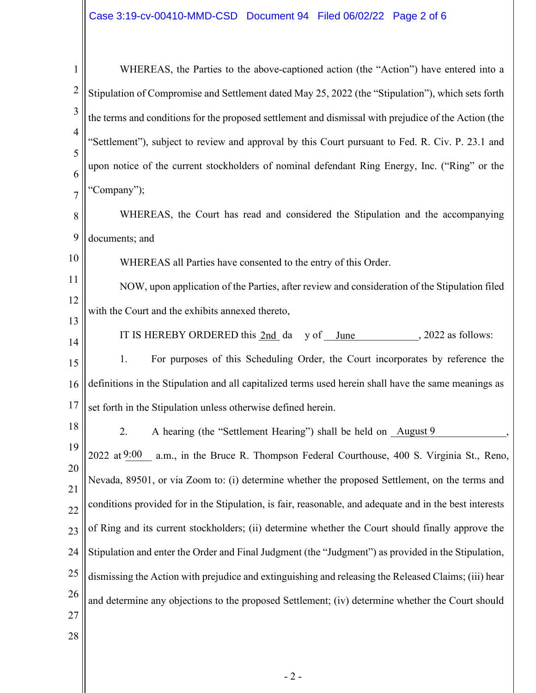1 2 3 4 5 6 7 8 9 10 11 12 13 14 15 16 17 18 19 20 21 22 23 24 25 26 27 28 WHEREAS, the Parties to the above-captioned action (the "Action") have entered into a Stipulation of Compromise and Settlement dated May 25, 2022 (the "Stipulation"), which sets forth the terms and conditions for the proposed settlement and dismissal with prejudice of the Action (the "Settlement"), subject to review and approval by this Court pursuant to Fed. R. Civ. P. 23.1 and upon notice of the current stockholders of nominal defendant Ring Energy, Inc. ("Ring" or the "Company"); WHEREAS, the Court has read and considered the Stipulation and the accompanying documents; and WHEREAS all Parties have consented to the entry of this Order. NOW, upon application of the Parties, after review and consideration of the Stipulation filed with the Court and the exhibits annexed thereto, IT IS HEREBY ORDERED this  $2nd$  da y of June  $3022$  as follows: 1. For purposes of this Scheduling Order, the Court incorporates by reference the definitions in the Stipulation and all capitalized terms used herein shall have the same meanings as set forth in the Stipulation unless otherwise defined herein. 2. A hearing (the "Settlement Hearing") shall be held on August 9 a.m., in the Bruce R. Thompson Federal Courthouse, 400 S. Virginia St., Reno, Nevada, 89501, or via Zoom to: (i) determine whether the proposed Settlement, on the terms and conditions provided for in the Stipulation, is fair, reasonable, and adequate and in the best interests of Ring and its current stockholders; (ii) determine whether the Court should finally approve the Stipulation and enter the Order and Final Judgment (the "Judgment") as provided in the Stipulation, dismissing the Action with prejudice and extinguishing and releasing the Released Claims; (iii) hear and determine any objections to the proposed Settlement; (iv) determine whether the Court should 2022 at 9:00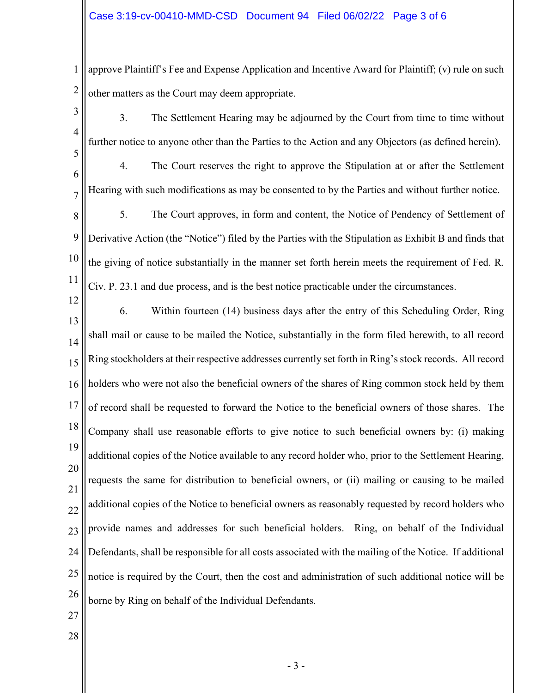1 2 approve Plaintiff's Fee and Expense Application and Incentive Award for Plaintiff; (v) rule on such other matters as the Court may deem appropriate.

3 4

3. The Settlement Hearing may be adjourned by the Court from time to time without further notice to anyone other than the Parties to the Action and any Objectors (as defined herein).

6

7

5

4. The Court reserves the right to approve the Stipulation at or after the Settlement Hearing with such modifications as may be consented to by the Parties and without further notice.

8 9 10 11 5. The Court approves, in form and content, the Notice of Pendency of Settlement of Derivative Action (the "Notice") filed by the Parties with the Stipulation as Exhibit B and finds that the giving of notice substantially in the manner set forth herein meets the requirement of Fed. R. Civ. P. 23.1 and due process, and is the best notice practicable under the circumstances.

12 13 14 15 16 17 18 19 20 21 22 23 24 25 26 6. Within fourteen (14) business days after the entry of this Scheduling Order, Ring shall mail or cause to be mailed the Notice, substantially in the form filed herewith, to all record Ring stockholders at their respective addresses currently set forth in Ring's stock records. All record holders who were not also the beneficial owners of the shares of Ring common stock held by them of record shall be requested to forward the Notice to the beneficial owners of those shares. The Company shall use reasonable efforts to give notice to such beneficial owners by: (i) making additional copies of the Notice available to any record holder who, prior to the Settlement Hearing, requests the same for distribution to beneficial owners, or (ii) mailing or causing to be mailed additional copies of the Notice to beneficial owners as reasonably requested by record holders who provide names and addresses for such beneficial holders. Ring, on behalf of the Individual Defendants, shall be responsible for all costs associated with the mailing of the Notice. If additional notice is required by the Court, then the cost and administration of such additional notice will be borne by Ring on behalf of the Individual Defendants.

- 27
- 28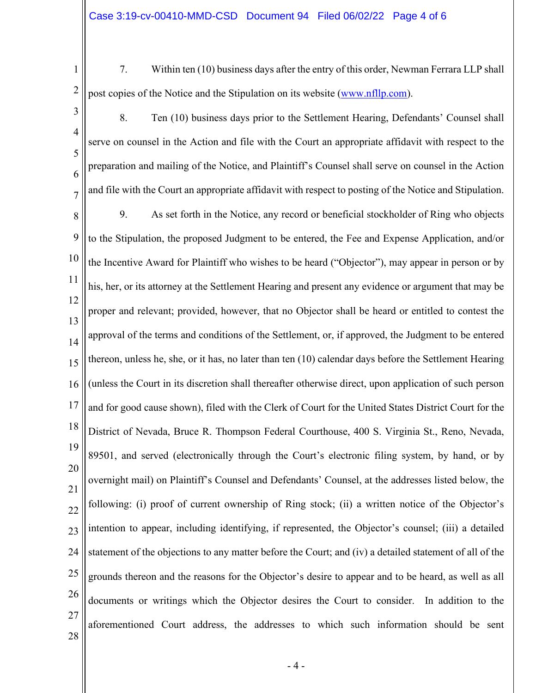1 2

7. Within ten (10) business days after the entry of this order, Newman Ferrara LLP shall post copies of the Notice and the Stipulation on its website (www.nfllp.com).

3 4 5 6 7 8 9 10 11 12 13 14 15 16 17 18 19 20 21 22 23 24 25 26 27 8. Ten (10) business days prior to the Settlement Hearing, Defendants' Counsel shall serve on counsel in the Action and file with the Court an appropriate affidavit with respect to the preparation and mailing of the Notice, and Plaintiff's Counsel shall serve on counsel in the Action and file with the Court an appropriate affidavit with respect to posting of the Notice and Stipulation. 9. As set forth in the Notice, any record or beneficial stockholder of Ring who objects to the Stipulation, the proposed Judgment to be entered, the Fee and Expense Application, and/or the Incentive Award for Plaintiff who wishes to be heard ("Objector"), may appear in person or by his, her, or its attorney at the Settlement Hearing and present any evidence or argument that may be proper and relevant; provided, however, that no Objector shall be heard or entitled to contest the approval of the terms and conditions of the Settlement, or, if approved, the Judgment to be entered thereon, unless he, she, or it has, no later than ten (10) calendar days before the Settlement Hearing (unless the Court in its discretion shall thereafter otherwise direct, upon application of such person and for good cause shown), filed with the Clerk of Court for the United States District Court for the District of Nevada, Bruce R. Thompson Federal Courthouse, 400 S. Virginia St., Reno, Nevada, 89501, and served (electronically through the Court's electronic filing system, by hand, or by overnight mail) on Plaintiff's Counsel and Defendants' Counsel, at the addresses listed below, the following: (i) proof of current ownership of Ring stock; (ii) a written notice of the Objector's intention to appear, including identifying, if represented, the Objector's counsel; (iii) a detailed statement of the objections to any matter before the Court; and (iv) a detailed statement of all of the grounds thereon and the reasons for the Objector's desire to appear and to be heard, as well as all documents or writings which the Objector desires the Court to consider. In addition to the aforementioned Court address, the addresses to which such information should be sent

28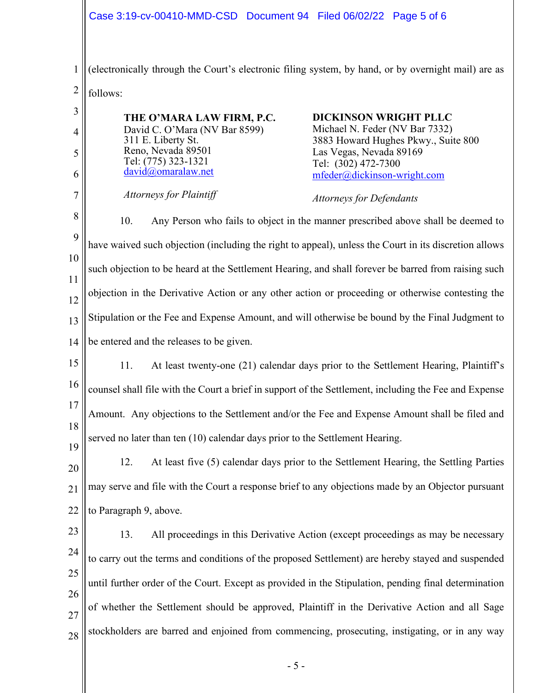1 2 (electronically through the Court's electronic filing system, by hand, or by overnight mail) are as follows:

3 4 5 6 7 8 9 10 11 12 13 14 15 16 17 18 19 20 21 22 23 24 25 26 27 28 **THE O'MARA LAW FIRM, P.C.** David C. O'Mara (NV Bar 8599) 311 E. Liberty St. Reno, Nevada 89501 Tel: (775) 323-1321 david@omaralaw.net *Attorneys for Plaintiff* **DICKINSON WRIGHT PLLC** Michael N. Feder (NV Bar 7332) 3883 Howard Hughes Pkwy., Suite 800 Las Vegas, Nevada 89169 Tel: (302) 472-7300 mfeder@dickinson-wright.com *Attorneys for Defendants* 10. Any Person who fails to object in the manner prescribed above shall be deemed to have waived such objection (including the right to appeal), unless the Court in its discretion allows such objection to be heard at the Settlement Hearing, and shall forever be barred from raising such objection in the Derivative Action or any other action or proceeding or otherwise contesting the Stipulation or the Fee and Expense Amount, and will otherwise be bound by the Final Judgment to be entered and the releases to be given. 11. At least twenty-one (21) calendar days prior to the Settlement Hearing, Plaintiff's counsel shall file with the Court a brief in support of the Settlement, including the Fee and Expense Amount. Any objections to the Settlement and/or the Fee and Expense Amount shall be filed and served no later than ten (10) calendar days prior to the Settlement Hearing. 12. At least five (5) calendar days prior to the Settlement Hearing, the Settling Parties may serve and file with the Court a response brief to any objections made by an Objector pursuant to Paragraph 9, above. 13. All proceedings in this Derivative Action (except proceedings as may be necessary to carry out the terms and conditions of the proposed Settlement) are hereby stayed and suspended until further order of the Court. Except as provided in the Stipulation, pending final determination of whether the Settlement should be approved, Plaintiff in the Derivative Action and all Sage stockholders are barred and enjoined from commencing, prosecuting, instigating, or in any way